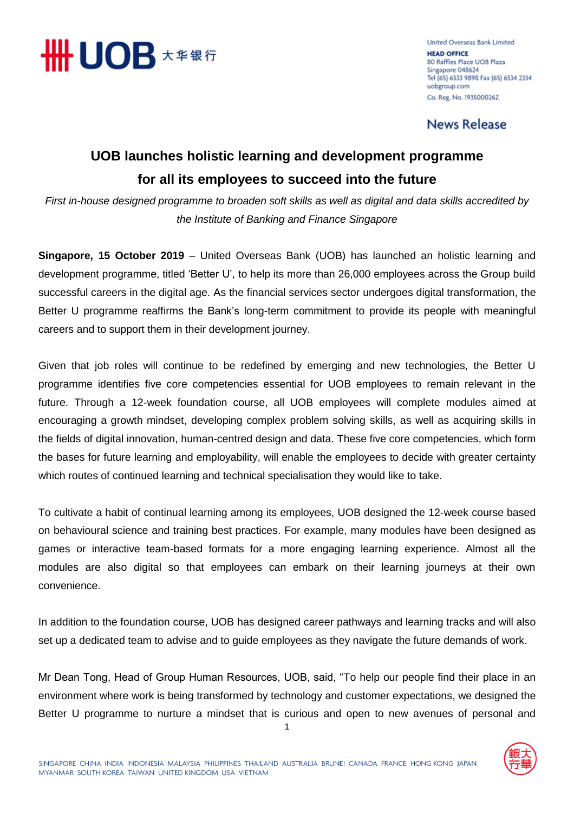

**United Overseas Bank Limited HEAD OFFICE** 80 Raffles Place UOB Plaza Singapore 048624 Tel (65) 6533 9898 Fax (65) 6534 2334 uobgroup.com Co. Reg. No. 193500026Z

**News Release** 

## **UOB launches holistic learning and development programme for all its employees to succeed into the future**

*First in-house designed programme to broaden soft skills as well as digital and data skills accredited by the Institute of Banking and Finance Singapore* 

**Singapore, 15 October 2019** – United Overseas Bank (UOB) has launched an holistic learning and development programme, titled 'Better U', to help its more than 26,000 employees across the Group build successful careers in the digital age. As the financial services sector undergoes digital transformation, the Better U programme reaffirms the Bank's long-term commitment to provide its people with meaningful careers and to support them in their development journey.

Given that job roles will continue to be redefined by emerging and new technologies, the Better U programme identifies five core competencies essential for UOB employees to remain relevant in the future. Through a 12-week foundation course, all UOB employees will complete modules aimed at encouraging a growth mindset, developing complex problem solving skills, as well as acquiring skills in the fields of digital innovation, human-centred design and data. These five core competencies, which form the bases for future learning and employability, will enable the employees to decide with greater certainty which routes of continued learning and technical specialisation they would like to take.

To cultivate a habit of continual learning among its employees, UOB designed the 12-week course based on behavioural science and training best practices. For example, many modules have been designed as games or interactive team-based formats for a more engaging learning experience. Almost all the modules are also digital so that employees can embark on their learning journeys at their own convenience.

In addition to the foundation course, UOB has designed career pathways and learning tracks and will also set up a dedicated team to advise and to guide employees as they navigate the future demands of work.

Mr Dean Tong, Head of Group Human Resources, UOB, said, "To help our people find their place in an environment where work is being transformed by technology and customer expectations, we designed the Better U programme to nurture a mindset that is curious and open to new avenues of personal and

1

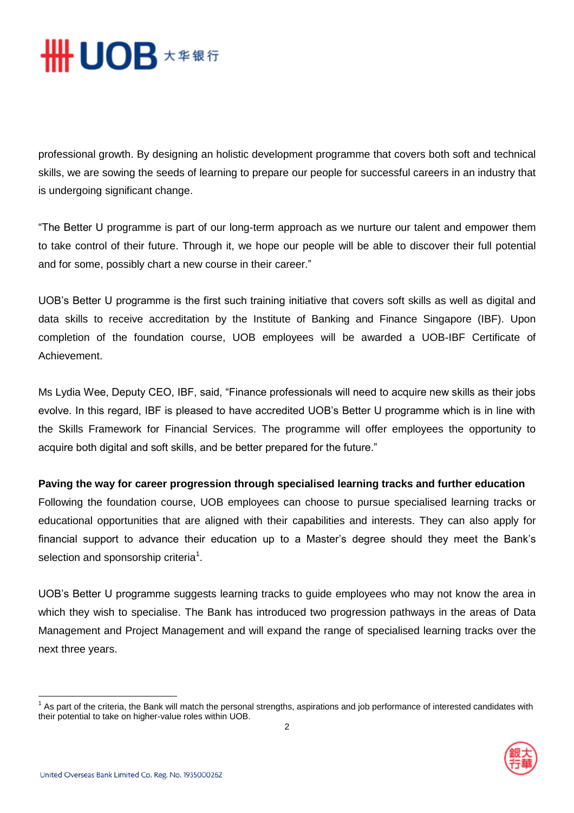

professional growth. By designing an holistic development programme that covers both soft and technical skills, we are sowing the seeds of learning to prepare our people for successful careers in an industry that is undergoing significant change.

"The Better U programme is part of our long-term approach as we nurture our talent and empower them to take control of their future. Through it, we hope our people will be able to discover their full potential and for some, possibly chart a new course in their career."

UOB's Better U programme is the first such training initiative that covers soft skills as well as digital and data skills to receive accreditation by the Institute of Banking and Finance Singapore (IBF). Upon completion of the foundation course, UOB employees will be awarded a UOB-IBF Certificate of Achievement.

Ms Lydia Wee, Deputy CEO, IBF, said, "Finance professionals will need to acquire new skills as their jobs evolve. In this regard, IBF is pleased to have accredited UOB's Better U programme which is in line with the Skills Framework for Financial Services. The programme will offer employees the opportunity to acquire both digital and soft skills, and be better prepared for the future."

## **Paving the way for career progression through specialised learning tracks and further education**

Following the foundation course, UOB employees can choose to pursue specialised learning tracks or educational opportunities that are aligned with their capabilities and interests. They can also apply for financial support to advance their education up to a Master's degree should they meet the Bank's selection and sponsorship criteria<sup>1</sup>.

UOB's Better U programme suggests learning tracks to guide employees who may not know the area in which they wish to specialise. The Bank has introduced two progression pathways in the areas of Data Management and Project Management and will expand the range of specialised learning tracks over the next three years.

 1 As part of the criteria, the Bank will match the personal strengths, aspirations and job performance of interested candidates with their potential to take on higher-value roles within UOB.